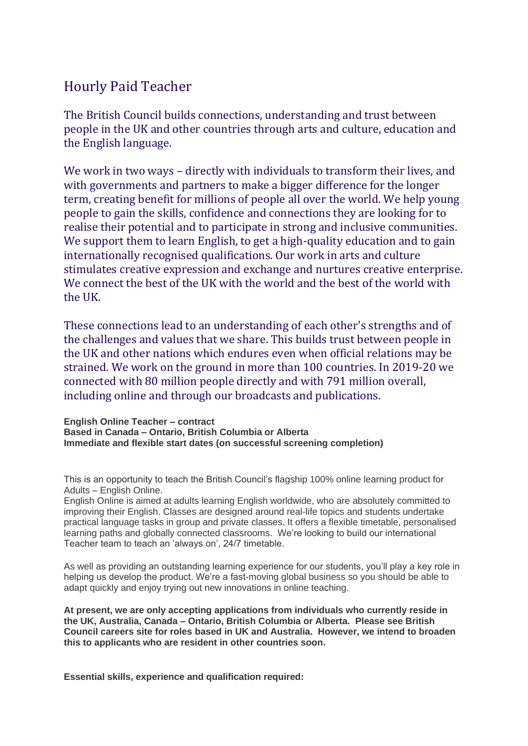# Hourly Paid Teacher

The British Council builds connections, understanding and trust between people in the UK and other countries through arts and culture, education and the English language.

We work in two ways – directly with individuals to transform their lives, and with governments and partners to make a bigger difference for the longer term, creating benefit for millions of people all over the world. We help young people to gain the skills, confidence and connections they are looking for to realise their potential and to participate in strong and inclusive communities. We support them to learn English, to get a high-quality education and to gain internationally recognised qualifications. Our work in arts and culture stimulates creative expression and exchange and nurtures creative enterprise. We connect the best of the UK with the world and the best of the world with the UK.

These connections lead to an understanding of each other's strengths and of the challenges and values that we share. This builds trust between people in the UK and other nations which endures even when official relations may be strained. We work on the ground in more than 100 countries. In 2019-20 we connected with 80 million people directly and with 791 million overall, including online and through our broadcasts and publications.

**English Online Teacher – contract Based in Canada – Ontario, British Columbia or Alberta Immediate and flexible start dates (on successful screening completion)** 

This is an opportunity to teach the British Council's flagship 100% online learning product for Adults – English Online.

English Online is aimed at adults learning English worldwide, who are absolutely committed to improving their English. Classes are designed around real-life topics and students undertake practical language tasks in group and private classes. It offers a flexible timetable, personalised learning paths and globally connected classrooms. We're looking to build our international Teacher team to teach an 'always on', 24/7 timetable.

As well as providing an outstanding learning experience for our students, you'll play a key role in helping us develop the product. We're a fast-moving global business so you should be able to adapt quickly and enjoy trying out new innovations in online teaching.

**At present, we are only accepting applications from individuals who currently reside in the UK, Australia, Canada – Ontario, British Columbia or Alberta. Please see British Council careers site for roles based in UK and Australia. However, we intend to broaden this to applicants who are resident in other countries soon.**

**Essential skills, experience and qualification required:**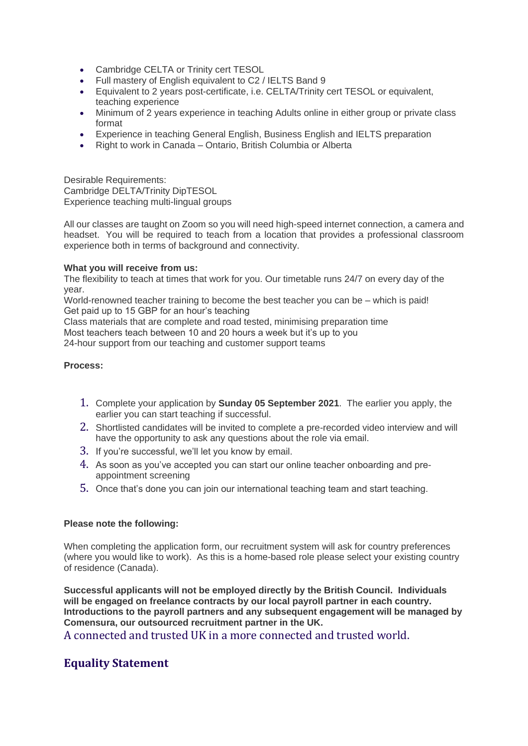- Cambridge CELTA or Trinity cert TESOL
- Full mastery of English equivalent to C2 / IELTS Band 9
- Equivalent to 2 years post-certificate, i.e. CELTA/Trinity cert TESOL or equivalent, teaching experience
- Minimum of 2 years experience in teaching Adults online in either group or private class format
- Experience in teaching General English, Business English and IELTS preparation
- Right to work in Canada Ontario, British Columbia or Alberta

Desirable Requirements: Cambridge DELTA/Trinity DipTESOL Experience teaching multi-lingual groups

All our classes are taught on Zoom so you will need high-speed internet connection, a camera and headset. You will be required to teach from a location that provides a professional classroom experience both in terms of background and connectivity.

#### **What you will receive from us:**

The flexibility to teach at times that work for you. Our timetable runs 24/7 on every day of the year.

World-renowned teacher training to become the best teacher you can be – which is paid! Get paid up to 15 GBP for an hour's teaching

Class materials that are complete and road tested, minimising preparation time Most teachers teach between 10 and 20 hours a week but it's up to you

24-hour support from our teaching and customer support teams

#### **Process:**

- 1. Complete your application by **Sunday 05 September 2021**. The earlier you apply, the earlier you can start teaching if successful.
- 2. Shortlisted candidates will be invited to complete a pre-recorded video interview and will have the opportunity to ask any questions about the role via email.
- 3. If you're successful, we'll let you know by email.
- 4. As soon as you've accepted you can start our online teacher onboarding and preappointment screening
- 5. Once that's done you can join our international teaching team and start teaching.

#### **Please note the following:**

When completing the application form, our recruitment system will ask for country preferences (where you would like to work). As this is a home-based role please select your existing country of residence (Canada).

**Successful applicants will not be employed directly by the British Council. Individuals will be engaged on freelance contracts by our local payroll partner in each country. Introductions to the payroll partners and any subsequent engagement will be managed by Comensura, our outsourced recruitment partner in the UK.**

A connected and trusted UK in a more connected and trusted world.

## **Equality Statement**